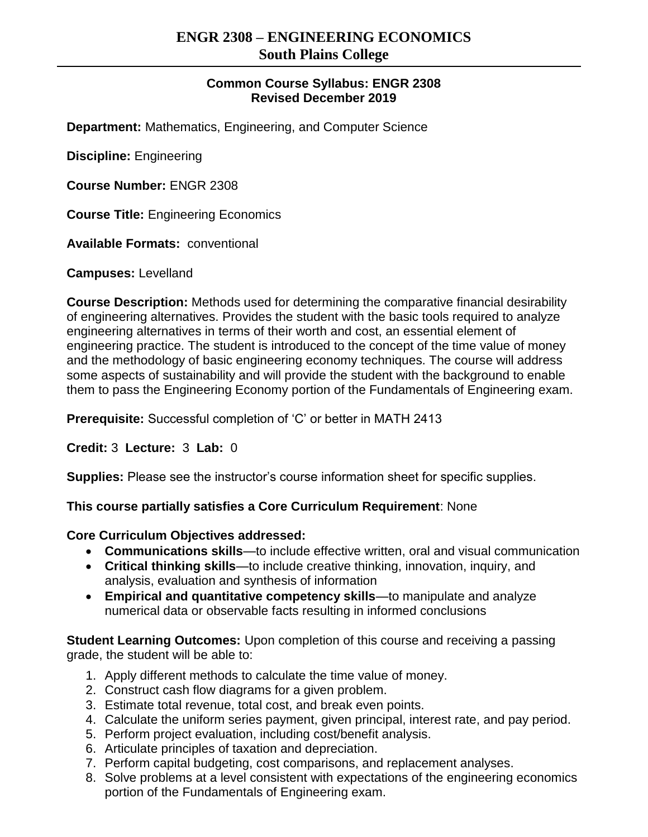## **Common Course Syllabus: ENGR 2308 Revised December 2019**

**Department:** Mathematics, Engineering, and Computer Science

**Discipline:** Engineering

**Course Number:** ENGR 2308

**Course Title:** Engineering Economics

**Available Formats:** conventional

**Campuses:** Levelland

**Course Description:** Methods used for determining the comparative financial desirability of engineering alternatives. Provides the student with the basic tools required to analyze engineering alternatives in terms of their worth and cost, an essential element of engineering practice. The student is introduced to the concept of the time value of money and the methodology of basic engineering economy techniques. The course will address some aspects of sustainability and will provide the student with the background to enable them to pass the Engineering Economy portion of the Fundamentals of Engineering exam.

**Prerequisite:** Successful completion of 'C' or better in MATH 2413

**Credit:** 3 **Lecture:** 3 **Lab:** 0

**Supplies:** Please see the instructor's course information sheet for specific supplies.

## **This course partially satisfies a Core Curriculum Requirement**: None

## **Core Curriculum Objectives addressed:**

- **Communications skills**—to include effective written, oral and visual communication
- **Critical thinking skills**—to include creative thinking, innovation, inquiry, and analysis, evaluation and synthesis of information
- **Empirical and quantitative competency skills**—to manipulate and analyze numerical data or observable facts resulting in informed conclusions

**Student Learning Outcomes:** Upon completion of this course and receiving a passing grade, the student will be able to:

- 1. Apply different methods to calculate the time value of money.
- 2. Construct cash flow diagrams for a given problem.
- 3. Estimate total revenue, total cost, and break even points.
- 4. Calculate the uniform series payment, given principal, interest rate, and pay period.
- 5. Perform project evaluation, including cost/benefit analysis.
- 6. Articulate principles of taxation and depreciation.
- 7. Perform capital budgeting, cost comparisons, and replacement analyses.
- 8. Solve problems at a level consistent with expectations of the engineering economics portion of the Fundamentals of Engineering exam.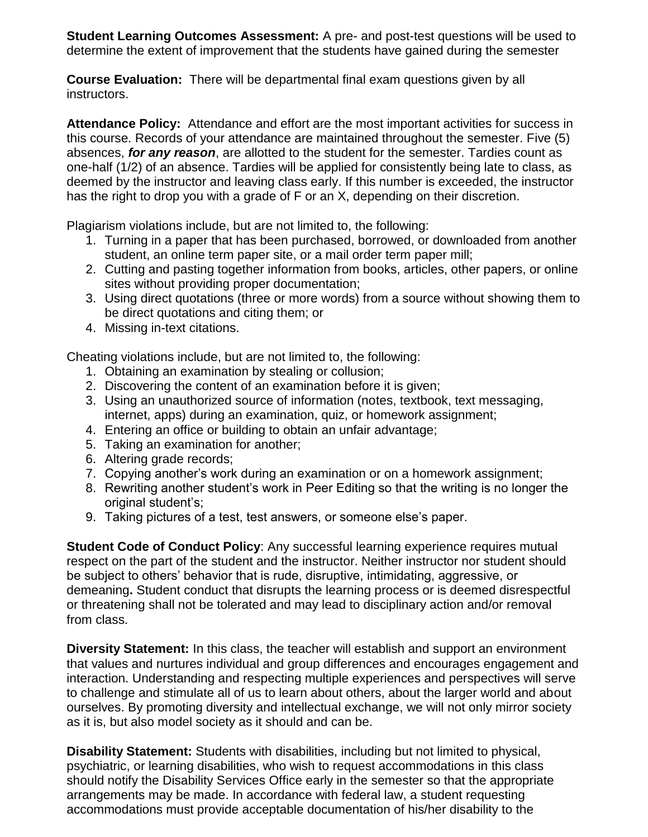**Student Learning Outcomes Assessment:** A pre- and post-test questions will be used to determine the extent of improvement that the students have gained during the semester

**Course Evaluation:** There will be departmental final exam questions given by all instructors.

**Attendance Policy:** Attendance and effort are the most important activities for success in this course. Records of your attendance are maintained throughout the semester. Five (5) absences, *for any reason*, are allotted to the student for the semester. Tardies count as one-half (1/2) of an absence. Tardies will be applied for consistently being late to class, as deemed by the instructor and leaving class early. If this number is exceeded, the instructor has the right to drop you with a grade of F or an X, depending on their discretion.

Plagiarism violations include, but are not limited to, the following:

- 1. Turning in a paper that has been purchased, borrowed, or downloaded from another student, an online term paper site, or a mail order term paper mill;
- 2. Cutting and pasting together information from books, articles, other papers, or online sites without providing proper documentation;
- 3. Using direct quotations (three or more words) from a source without showing them to be direct quotations and citing them; or
- 4. Missing in-text citations.

Cheating violations include, but are not limited to, the following:

- 1. Obtaining an examination by stealing or collusion;
- 2. Discovering the content of an examination before it is given;
- 3. Using an unauthorized source of information (notes, textbook, text messaging, internet, apps) during an examination, quiz, or homework assignment;
- 4. Entering an office or building to obtain an unfair advantage;
- 5. Taking an examination for another;
- 6. Altering grade records;
- 7. Copying another's work during an examination or on a homework assignment;
- 8. Rewriting another student's work in Peer Editing so that the writing is no longer the original student's;
- 9. Taking pictures of a test, test answers, or someone else's paper.

**Student Code of Conduct Policy:** Any successful learning experience requires mutual respect on the part of the student and the instructor. Neither instructor nor student should be subject to others' behavior that is rude, disruptive, intimidating, aggressive, or demeaning**.** Student conduct that disrupts the learning process or is deemed disrespectful or threatening shall not be tolerated and may lead to disciplinary action and/or removal from class.

**Diversity Statement:** In this class, the teacher will establish and support an environment that values and nurtures individual and group differences and encourages engagement and interaction. Understanding and respecting multiple experiences and perspectives will serve to challenge and stimulate all of us to learn about others, about the larger world and about ourselves. By promoting diversity and intellectual exchange, we will not only mirror society as it is, but also model society as it should and can be.

**Disability Statement:** Students with disabilities, including but not limited to physical, psychiatric, or learning disabilities, who wish to request accommodations in this class should notify the Disability Services Office early in the semester so that the appropriate arrangements may be made. In accordance with federal law, a student requesting accommodations must provide acceptable documentation of his/her disability to the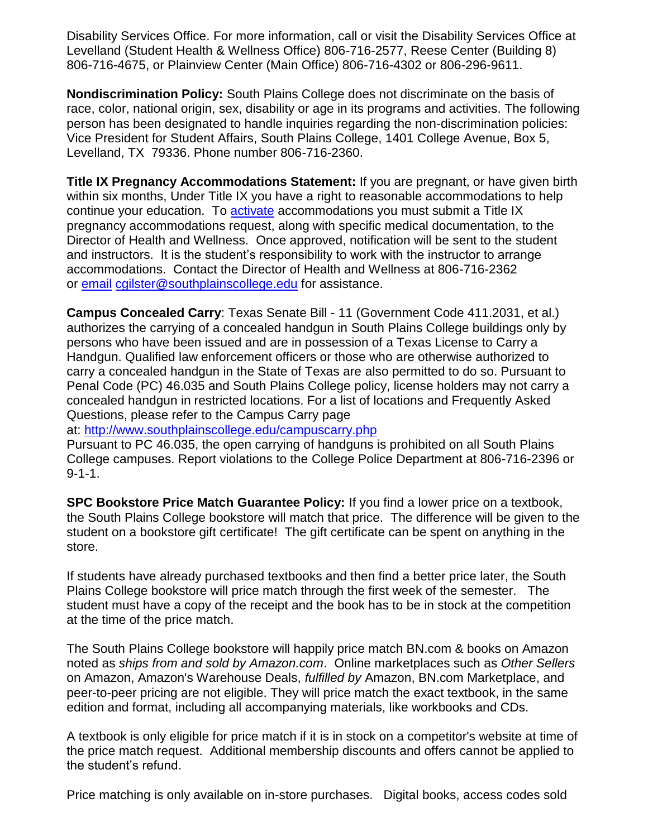Disability Services Office. For more information, call or visit the Disability Services Office at Levelland (Student Health & Wellness Office) 806-716-2577, Reese Center (Building 8) 806-716-4675, or Plainview Center (Main Office) 806-716-4302 or 806-296-9611.

**Nondiscrimination Policy:** South Plains College does not discriminate on the basis of race, color, national origin, sex, disability or age in its programs and activities. The following person has been designated to handle inquiries regarding the non-discrimination policies: Vice President for Student Affairs, South Plains College, 1401 College Avenue, Box 5, Levelland, TX 79336. Phone number 806-716-2360.

**Title IX Pregnancy Accommodations Statement:** If you are pregnant, or have given birth within six months, Under Title IX you have a right to reasonable accommodations to help continue your education. To [activate](http://www.southplainscollege.edu/employees/manualshandbooks/facultyhandbook/sec4.php) accommodations you must submit a Title IX pregnancy accommodations request, along with specific medical documentation, to the Director of Health and Wellness. Once approved, notification will be sent to the student and instructors. It is the student's responsibility to work with the instructor to arrange accommodations. Contact the Director of Health and Wellness at 806-716-2362 or [email](http://www.southplainscollege.edu/employees/manualshandbooks/facultyhandbook/sec4.php) [cgilster@southplainscollege.edu](mailto:cgilster@southplainscollege.edu) for assistance.

**Campus Concealed Carry**: Texas Senate Bill - 11 (Government Code 411.2031, et al.) authorizes the carrying of a concealed handgun in South Plains College buildings only by persons who have been issued and are in possession of a Texas License to Carry a Handgun. Qualified law enforcement officers or those who are otherwise authorized to carry a concealed handgun in the State of Texas are also permitted to do so. Pursuant to Penal Code (PC) 46.035 and South Plains College policy, license holders may not carry a concealed handgun in restricted locations. For a list of locations and Frequently Asked Questions, please refer to the Campus Carry page

at: <http://www.southplainscollege.edu/campuscarry.php>

Pursuant to PC 46.035, the open carrying of handguns is prohibited on all South Plains College campuses. Report violations to the College Police Department at 806-716-2396 or 9-1-1.

**SPC Bookstore Price Match Guarantee Policy:** If you find a lower price on a textbook, the South Plains College bookstore will match that price. The difference will be given to the student on a bookstore gift certificate! The gift certificate can be spent on anything in the store.

If students have already purchased textbooks and then find a better price later, the South Plains College bookstore will price match through the first week of the semester. The student must have a copy of the receipt and the book has to be in stock at the competition at the time of the price match.

The South Plains College bookstore will happily price match BN.com & books on Amazon noted as *ships from and sold by Amazon.com*. Online marketplaces such as *Other Sellers* on Amazon, Amazon's Warehouse Deals, *fulfilled by* Amazon, BN.com Marketplace, and peer-to-peer pricing are not eligible. They will price match the exact textbook, in the same edition and format, including all accompanying materials, like workbooks and CDs.

A textbook is only eligible for price match if it is in stock on a competitor's website at time of the price match request. Additional membership discounts and offers cannot be applied to the student's refund.

Price matching is only available on in-store purchases. Digital books, access codes sold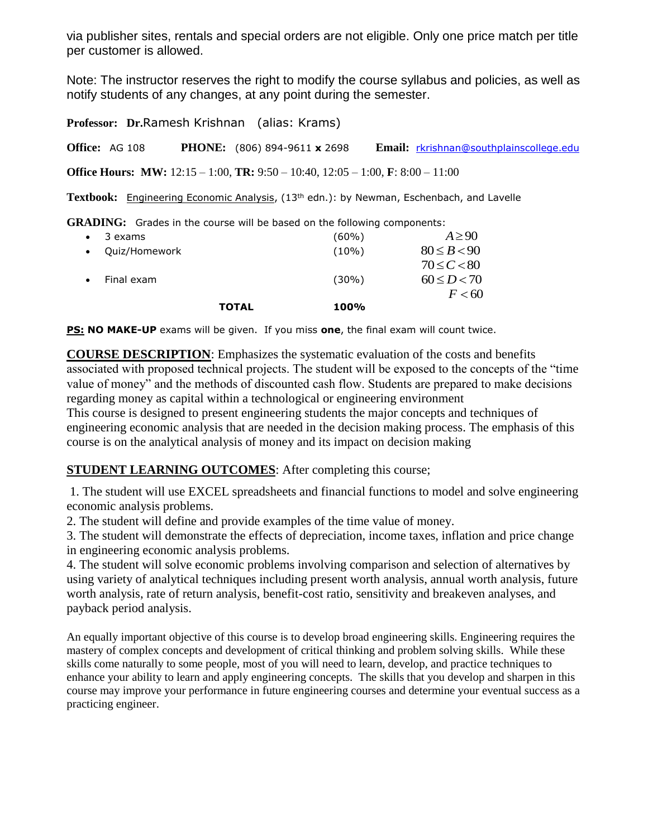via publisher sites, rentals and special orders are not eligible. Only one price match per title per customer is allowed.

Note: The instructor reserves the right to modify the course syllabus and policies, as well as notify students of any changes, at any point during the semester.

**Professor: Dr.**Ramesh Krishnan (alias: Krams) **Office:** AG 108 **PHONE:** (806) 894-9611 **x** 2698 **Email:** [rkrishnan@southplainscollege.edu](mailto:rkrishnan@southplainscollege.edu) **Office Hours: MW:** 12:15 – 1:00, **TR:** 9:50 – 10:40, 12:05 – 1:00, **F**: 8:00 – 11:00

Textbook: Engineering Economic Analysis, (13<sup>th</sup> edn.): by Newman, Eschenbach, and Lavelle

**GRADING:** Grades in the course will be based on the following components:

|             |               | <b>TOTAL</b> | 100%     |                 |
|-------------|---------------|--------------|----------|-----------------|
|             |               |              |          | F < 60          |
| $\bullet$   | Final exam    |              | $(30\%)$ | $60 \le D < 70$ |
|             |               |              |          | $70 \le C < 80$ |
| $\bullet$ . | Ouiz/Homework |              | $(10\%)$ | $80 \le B < 90$ |
| $\bullet$   | 3 exams       |              | (60%)    | $A \geq 90$     |

**PS: NO MAKE-UP** exams will be given. If you miss **one**, the final exam will count twice.

**COURSE DESCRIPTION**: Emphasizes the systematic evaluation of the costs and benefits associated with proposed technical projects. The student will be exposed to the concepts of the "time value of money" and the methods of discounted cash flow. Students are prepared to make decisions regarding money as capital within a technological or engineering environment

This course is designed to present engineering students the major concepts and techniques of engineering economic analysis that are needed in the decision making process. The emphasis of this course is on the analytical analysis of money and its impact on decision making

## **STUDENT LEARNING OUTCOMES:** After completing this course;

1. The student will use EXCEL spreadsheets and financial functions to model and solve engineering economic analysis problems.

2. The student will define and provide examples of the time value of money.

3. The student will demonstrate the effects of depreciation, income taxes, inflation and price change in engineering economic analysis problems.

4. The student will solve economic problems involving comparison and selection of alternatives by using variety of analytical techniques including present worth analysis, annual worth analysis, future worth analysis, rate of return analysis, benefit-cost ratio, sensitivity and breakeven analyses, and payback period analysis.

An equally important objective of this course is to develop broad engineering skills. Engineering requires the mastery of complex concepts and development of critical thinking and problem solving skills. While these skills come naturally to some people, most of you will need to learn, develop, and practice techniques to enhance your ability to learn and apply engineering concepts. The skills that you develop and sharpen in this course may improve your performance in future engineering courses and determine your eventual success as a practicing engineer.